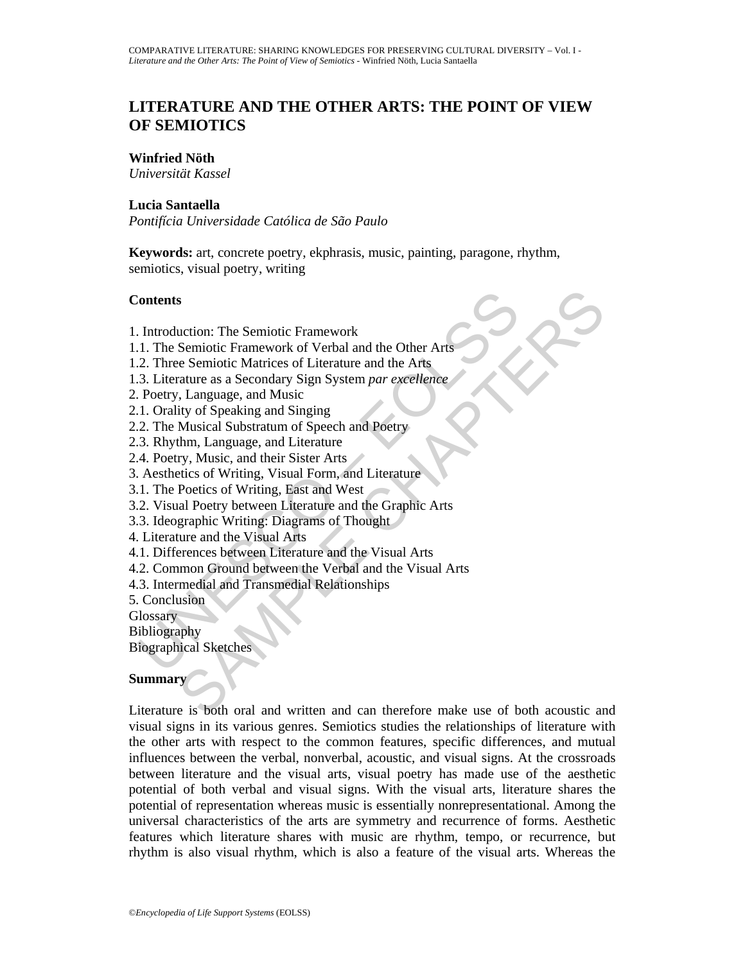# **LITERATURE AND THE OTHER ARTS: THE POINT OF VIEW OF SEMIOTICS**

## **Winfried Nöth**

*Universität Kassel* 

### **Lucia Santaella**

*Pontifícia Universidade Católica de São Paulo* 

**Keywords:** art, concrete poetry, ekphrasis, music, painting, paragone, rhythm, semiotics, visual poetry, writing

## **Contents**

- 1. Introduction: The Semiotic Framework
- 1.1. The Semiotic Framework of Verbal and the Other Arts
- 1.2. Three Semiotic Matrices of Literature and the Arts
- 1.3. Literature as a Secondary Sign System *par excellence*
- 2. Poetry, Language, and Music
- 2.1. Orality of Speaking and Singing
- 2.2. The Musical Substratum of Speech and Poetry
- 2.3. Rhythm, Language, and Literature
- 2.4. Poetry, Music, and their Sister Arts
- 3. Aesthetics of Writing, Visual Form, and Literature
- 3.1. The Poetics of Writing, East and West
- 3.2. Visual Poetry between Literature and the Graphic Arts
- 3.3. Ideographic Writing: Diagrams of Thought
- 4. Literature and the Visual Arts
- 4.1. Differences between Literature and the Visual Arts
- Contents<br>
2. Introduction: The Semiotic Framework<br>
1. The Semiotic Framework of Verbal and the Other Arts<br>
2. Three Semiotic Matrices of Literature and the Arts<br>
3. Literature as a Secondary Sign System par excellence<br>
2. 4.2. Common Ground between the Verbal and the Visual Arts
- 4.3. Intermedial and Transmedial Relationships
- 5. Conclusion

**Glossary** 

Bibliography

Biographical Sketches

## **Summary**

s<br>
suction: The Semiotic Framework<br>
Semiotic Framework of Verbal and the Other Art<br>
Semiotic Framework of Verbal and the Other Art<br>
rature as a Secondary Sign System par excellence<br>
it, Language, and Music<br>
ity of Speaking Literature is both oral and written and can therefore make use of both acoustic and visual signs in its various genres. Semiotics studies the relationships of literature with the other arts with respect to the common features, specific differences, and mutual influences between the verbal, nonverbal, acoustic, and visual signs. At the crossroads between literature and the visual arts, visual poetry has made use of the aesthetic potential of both verbal and visual signs. With the visual arts, literature shares the potential of representation whereas music is essentially nonrepresentational. Among the universal characteristics of the arts are symmetry and recurrence of forms. Aesthetic features which literature shares with music are rhythm, tempo, or recurrence, but rhythm is also visual rhythm, which is also a feature of the visual arts. Whereas the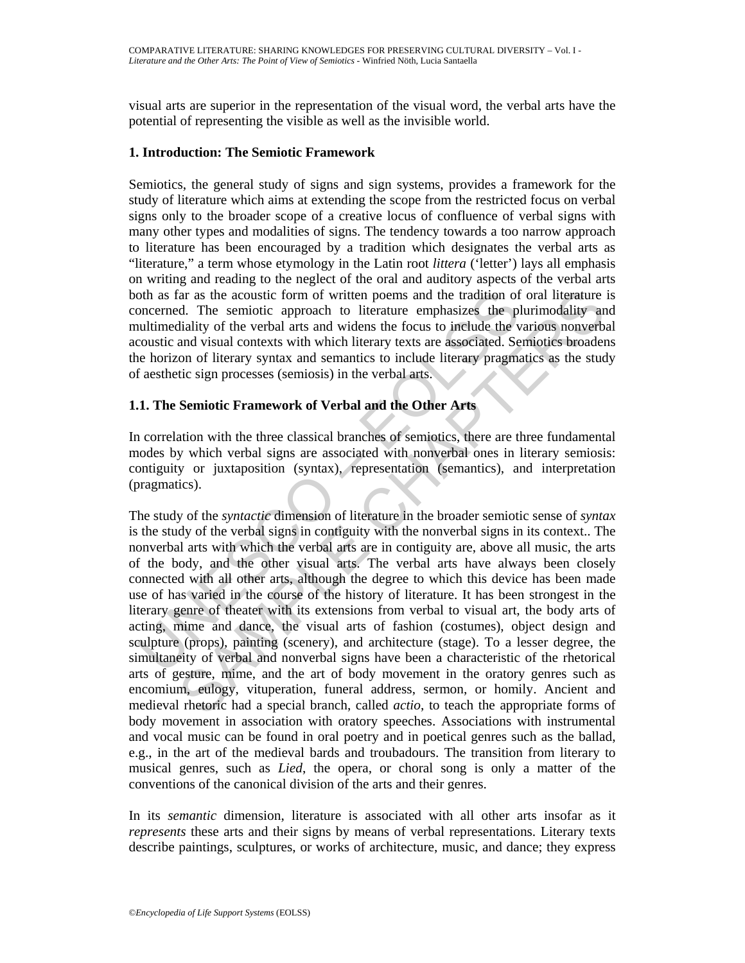visual arts are superior in the representation of the visual word, the verbal arts have the potential of representing the visible as well as the invisible world.

## **1. Introduction: The Semiotic Framework**

Semiotics, the general study of signs and sign systems, provides a framework for the study of literature which aims at extending the scope from the restricted focus on verbal signs only to the broader scope of a creative locus of confluence of verbal signs with many other types and modalities of signs. The tendency towards a too narrow approach to literature has been encouraged by a tradition which designates the verbal arts as "literature," a term whose etymology in the Latin root *littera* ('letter') lays all emphasis on writing and reading to the neglect of the oral and auditory aspects of the verbal arts both as far as the acoustic form of written poems and the tradition of oral literature is concerned. The semiotic approach to literature emphasizes the plurimodality and multimediality of the verbal arts and widens the focus to include the various nonverbal acoustic and visual contexts with which literary texts are associated. Semiotics broadens the horizon of literary syntax and semantics to include literary pragmatics as the study of aesthetic sign processes (semiosis) in the verbal arts.

## **1.1. The Semiotic Framework of Verbal and the Other Arts**

In correlation with the three classical branches of semiotics, there are three fundamental modes by which verbal signs are associated with nonverbal ones in literary semiosis: contiguity or juxtaposition (syntax), representation (semantics), and interpretation (pragmatics).

oth as far as the acoustic form of written poems and the tradition of oncerned. The semiotic approach to literature emphasizes the plultimediality of the verbal arts and widens the coust or include the verbulanticality of For as the acoustic form of written poems and the tradition of oral literature<br>
d. The semiotic approach to literature emphasizes the plurimodality<br>
of the verbal arts and widens the cours to include the various nonverbal The study of the *syntactic* dimension of literature in the broader semiotic sense of *syntax* is the study of the verbal signs in contiguity with the nonverbal signs in its context.. The nonverbal arts with which the verbal arts are in contiguity are, above all music, the arts of the body, and the other visual arts. The verbal arts have always been closely connected with all other arts, although the degree to which this device has been made use of has varied in the course of the history of literature. It has been strongest in the literary genre of theater with its extensions from verbal to visual art, the body arts of acting, mime and dance, the visual arts of fashion (costumes), object design and sculpture (props), painting (scenery), and architecture (stage). To a lesser degree, the simultaneity of verbal and nonverbal signs have been a characteristic of the rhetorical arts of gesture, mime, and the art of body movement in the oratory genres such as encomium, eulogy, vituperation, funeral address, sermon, or homily. Ancient and medieval rhetoric had a special branch, called *actio*, to teach the appropriate forms of body movement in association with oratory speeches. Associations with instrumental and vocal music can be found in oral poetry and in poetical genres such as the ballad, e.g., in the art of the medieval bards and troubadours. The transition from literary to musical genres, such as *Lied*, the opera, or choral song is only a matter of the conventions of the canonical division of the arts and their genres.

In its *semantic* dimension, literature is associated with all other arts insofar as it *represents* these arts and their signs by means of verbal representations. Literary texts describe paintings, sculptures, or works of architecture, music, and dance; they express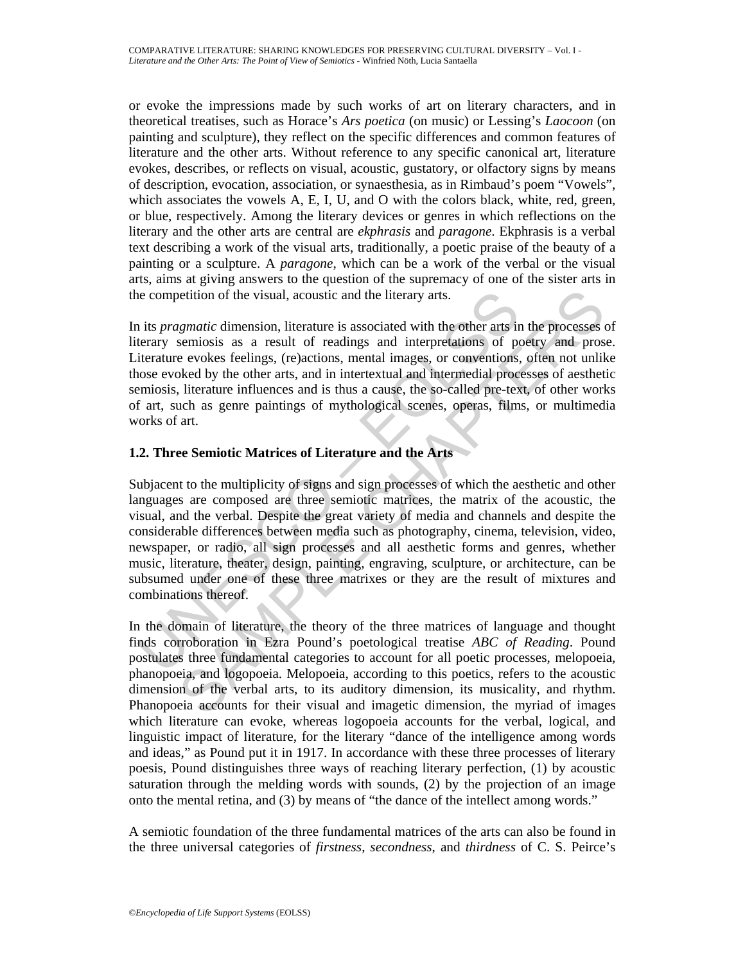or evoke the impressions made by such works of art on literary characters, and in theoretical treatises, such as Horace's *Ars poetica* (on music) or Lessing's *Laocoon* (on painting and sculpture), they reflect on the specific differences and common features of literature and the other arts. Without reference to any specific canonical art, literature evokes, describes, or reflects on visual, acoustic, gustatory, or olfactory signs by means of description, evocation, association, or synaesthesia, as in Rimbaud's poem "Vowels", which associates the vowels A, E, I, U, and O with the colors black, white, red, green, or blue, respectively. Among the literary devices or genres in which reflections on the literary and the other arts are central are *ekphrasis* and *paragone*. Ekphrasis is a verbal text describing a work of the visual arts, traditionally, a poetic praise of the beauty of a painting or a sculpture. A *paragone*, which can be a work of the verbal or the visual arts, aims at giving answers to the question of the supremacy of one of the sister arts in the competition of the visual, acoustic and the literary arts.

In its *pragmatic* dimension, literature is associated with the other arts in the processes of literary semiosis as a result of readings and interpretations of poetry and prose. Literature evokes feelings, (re)actions, mental images, or conventions, often not unlike those evoked by the other arts, and in intertextual and intermedial processes of aesthetic semiosis, literature influences and is thus a cause, the so-called pre-text, of other works of art, such as genre paintings of mythological scenes, operas, films, or multimedia works of art.

## **1.2. Three Semiotic Matrices of Literature and the Arts**

is provided in the visual, acoustic and the literary arts.<br>
its *pragmatic* dimension, literature is associated with the other arts in<br>
terary semiosis as a result of readings and interpretations of py<br>
iterature evokes f ignatic dimension, literature is associated with the other arts in the processes<br>semiosis as a result of readings and interpretations of poetry and prosesses<br>semiosis as a result of readings and interpretations of poetry a Subjacent to the multiplicity of signs and sign processes of which the aesthetic and other languages are composed are three semiotic matrices, the matrix of the acoustic, the visual, and the verbal. Despite the great variety of media and channels and despite the considerable differences between media such as photography, cinema, television, video, newspaper, or radio, all sign processes and all aesthetic forms and genres, whether music, literature, theater, design, painting, engraving, sculpture, or architecture, can be subsumed under one of these three matrixes or they are the result of mixtures and combinations thereof.

In the domain of literature, the theory of the three matrices of language and thought finds corroboration in Ezra Pound's poetological treatise *ABC of Reading*. Pound postulates three fundamental categories to account for all poetic processes, melopoeia, phanopoeia, and logopoeia. Melopoeia, according to this poetics, refers to the acoustic dimension of the verbal arts, to its auditory dimension, its musicality, and rhythm. Phanopoeia accounts for their visual and imagetic dimension, the myriad of images which literature can evoke, whereas logopoeia accounts for the verbal, logical, and linguistic impact of literature, for the literary "dance of the intelligence among words and ideas," as Pound put it in 1917. In accordance with these three processes of literary poesis, Pound distinguishes three ways of reaching literary perfection, (1) by acoustic saturation through the melding words with sounds, (2) by the projection of an image onto the mental retina, and (3) by means of "the dance of the intellect among words."

A semiotic foundation of the three fundamental matrices of the arts can also be found in the three universal categories of *firstness*, *secondness*, and *thirdness* of C. S. Peirce's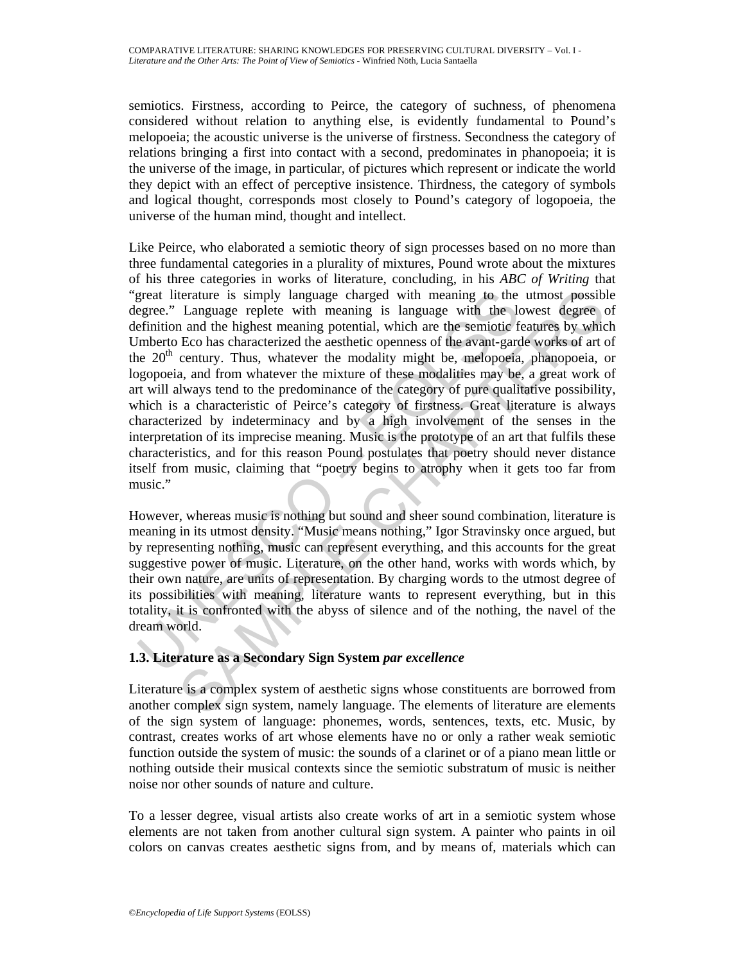semiotics. Firstness, according to Peirce, the category of suchness, of phenomena considered without relation to anything else, is evidently fundamental to Pound's melopoeia; the acoustic universe is the universe of firstness. Secondness the category of relations bringing a first into contact with a second, predominates in phanopoeia; it is the universe of the image, in particular, of pictures which represent or indicate the world they depict with an effect of perceptive insistence. Thirdness, the category of symbols and logical thought, corresponds most closely to Pound's category of logopoeia, the universe of the human mind, thought and intellect.

great literature is simply language charged with meaning to the egere." Language replete with meaning is language with the leftnition and the highest meaning potential, which are the semiotic film<br>from mode the highest mea terature is simply language charged with meaning to the utmost possibl<br>Language replete with meaning is language with the lowest degree<br>and the highest meaning potential, which are the semiotic features by which<br>Eco has ch Like Peirce, who elaborated a semiotic theory of sign processes based on no more than three fundamental categories in a plurality of mixtures, Pound wrote about the mixtures of his three categories in works of literature, concluding, in his *ABC of Writing* that "great literature is simply language charged with meaning to the utmost possible degree." Language replete with meaning is language with the lowest degree of definition and the highest meaning potential, which are the semiotic features by which Umberto Eco has characterized the aesthetic openness of the avant-garde works of art of the  $20<sup>th</sup>$  century. Thus, whatever the modality might be, melopoeia, phanopoeia, or logopoeia, and from whatever the mixture of these modalities may be, a great work of art will always tend to the predominance of the category of pure qualitative possibility, which is a characteristic of Peirce's category of firstness. Great literature is always characterized by indeterminacy and by a high involvement of the senses in the interpretation of its imprecise meaning. Music is the prototype of an art that fulfils these characteristics, and for this reason Pound postulates that poetry should never distance itself from music, claiming that "poetry begins to atrophy when it gets too far from music."

However, whereas music is nothing but sound and sheer sound combination, literature is meaning in its utmost density. "Music means nothing," Igor Stravinsky once argued, but by representing nothing, music can represent everything, and this accounts for the great suggestive power of music. Literature, on the other hand, works with words which, by their own nature, are units of representation. By charging words to the utmost degree of its possibilities with meaning, literature wants to represent everything, but in this totality, it is confronted with the abyss of silence and of the nothing, the navel of the dream world.

## **1.3. Literature as a Secondary Sign System** *par excellence*

Literature is a complex system of aesthetic signs whose constituents are borrowed from another complex sign system, namely language. The elements of literature are elements of the sign system of language: phonemes, words, sentences, texts, etc. Music, by contrast, creates works of art whose elements have no or only a rather weak semiotic function outside the system of music: the sounds of a clarinet or of a piano mean little or nothing outside their musical contexts since the semiotic substratum of music is neither noise nor other sounds of nature and culture.

To a lesser degree, visual artists also create works of art in a semiotic system whose elements are not taken from another cultural sign system. A painter who paints in oil colors on canvas creates aesthetic signs from, and by means of, materials which can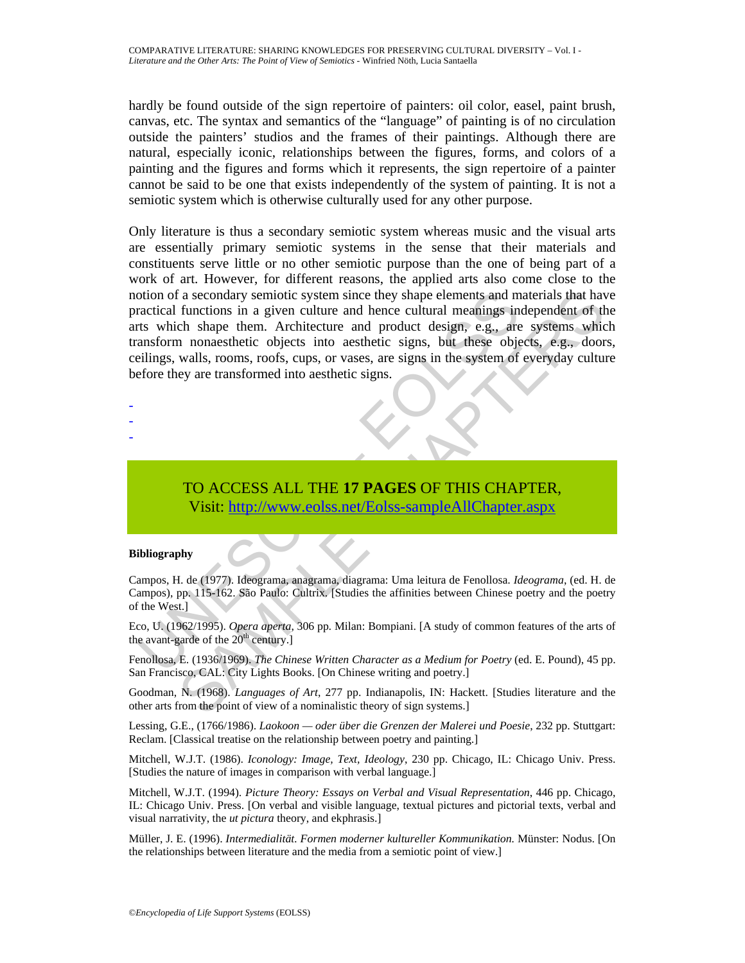hardly be found outside of the sign repertoire of painters: oil color, easel, paint brush, canvas, etc. The syntax and semantics of the "language" of painting is of no circulation outside the painters' studios and the frames of their paintings. Although there are natural, especially iconic, relationships between the figures, forms, and colors of a painting and the figures and forms which it represents, the sign repertoire of a painter cannot be said to be one that exists independently of the system of painting. It is not a semiotic system which is otherwise culturally used for any other purpose.

otion of a secondary semiotic system since they shape elements and m<br>ractical functions in a given culture and hence cultural meanings in<br>that s which shape them. Architecture and product design, e.g., are<br>nansform nonaest Calcordary semiotic system since they shape elements and materials that have<br>functions in a given culture and hence cultural meanings independent of the<br>the shape them. Architecture and product design, e.g., are systems wh Only literature is thus a secondary semiotic system whereas music and the visual arts are essentially primary semiotic systems in the sense that their materials and constituents serve little or no other semiotic purpose than the one of being part of a work of art. However, for different reasons, the applied arts also come close to the notion of a secondary semiotic system since they shape elements and materials that have practical functions in a given culture and hence cultural meanings independent of the arts which shape them. Architecture and product design, e.g., are systems which transform nonaesthetic objects into aesthetic signs, but these objects, e.g., doors, ceilings, walls, rooms, roofs, cups, or vases, are signs in the system of everyday culture before they are transformed into aesthetic signs.

- -
- -
- -

TO ACCESS ALL THE **17 PAGES** OF THIS CHAPTER, Visit: http://www.eolss.net/Eolss-sampleAllChapter.aspx

#### **Bibliography**

Campos, H. de (1977). Ideograma, anagrama, diagrama: Uma leitura de Fenollosa. *Ideograma*, (ed. H. de Campos), pp. 115-162. São Paulo: Cultrix. [Studies the affinities between Chinese poetry and the poetry of the West.]

Eco, U. (1962/1995). *Opera aperta*, 306 pp*.* Milan: Bompiani. [A study of common features of the arts of the avant-garde of the  $20<sup>th</sup>$  century.]

Fenollosa, E. (1936/1969). *The Chinese Written Character as a Medium for Poetry* (ed. E. Pound), 45 pp. San Francisco, CAL: City Lights Books. [On Chinese writing and poetry.]

Goodman, N. (1968). *Languages of Art*, 277 pp. Indianapolis, IN: Hackett. [Studies literature and the other arts from the point of view of a nominalistic theory of sign systems.]

Lessing, G.E., (1766/1986). *Laokoon — oder über die Grenzen der Malerei und Poesie*, 232 pp. Stuttgart: Reclam. [Classical treatise on the relationship between poetry and painting.]

Mitchell, W.J.T. (1986). *Iconology: Image, Text, Ideology*, 230 pp. Chicago, IL: Chicago Univ. Press. [Studies the nature of images in comparison with verbal language.]

Mitchell, W.J.T. (1994). *Picture Theory: Essays on Verbal and Visual Representation*, 446 pp. Chicago, IL: Chicago Univ. Press. [On verbal and visible language, textual pictures and pictorial texts, verbal and visual narrativity, the *ut pictura* theory, and ekphrasis.]

Müller, J. E. (1996). *Intermedialität. Formen moderner kultureller Kommunikation.* Münster: Nodus. [On the relationships between literature and the media from a semiotic point of view.]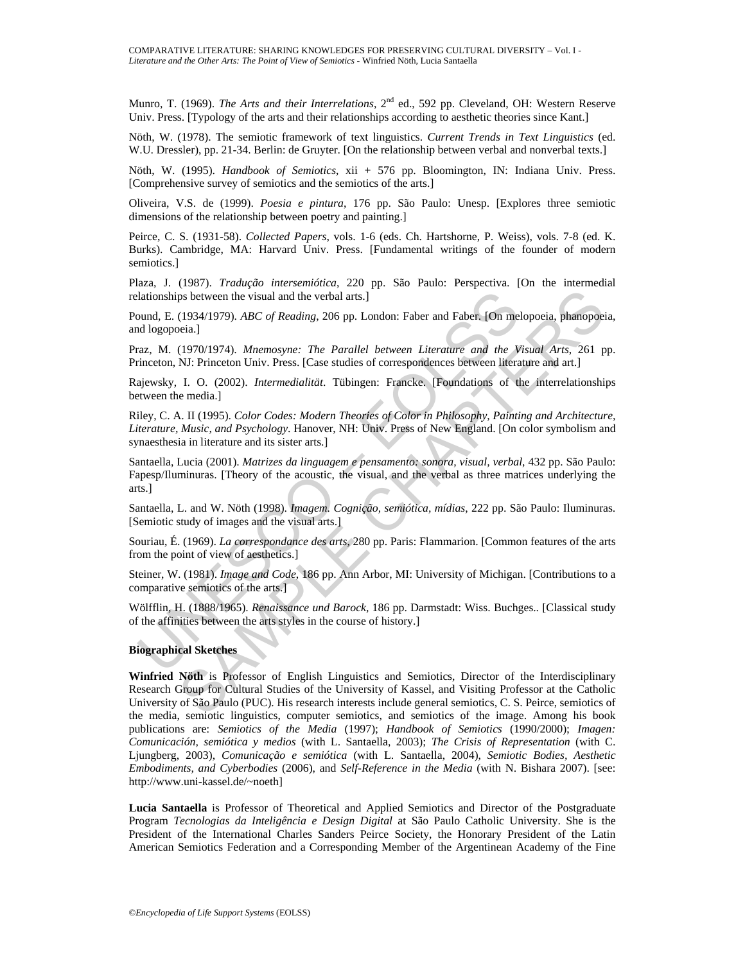Munro, T. (1969). *The Arts and their Interrelations*, 2<sup>nd</sup> ed., 592 pp. Cleveland, OH: Western Reserve Univ. Press. [Typology of the arts and their relationships according to aesthetic theories since Kant.]

Nöth, W. (1978). The semiotic framework of text linguistics. *Current Trends in Text Linguistics* (ed. W.U. Dressler), pp. 21-34. Berlin: de Gruyter. [On the relationship between verbal and nonverbal texts.]

Nöth, W. (1995). *Handbook of Semiotics*, xii + 576 pp. Bloomington, IN: Indiana Univ. Press. [Comprehensive survey of semiotics and the semiotics of the arts.]

Oliveira, V.S. de (1999). *Poesia e pintura*, 176 pp. São Paulo: Unesp. [Explores three semiotic dimensions of the relationship between poetry and painting.]

Peirce, C. S. (1931-58). *Collected Papers*, vols. 1-6 (eds. Ch. Hartshorne, P. Weiss), vols. 7-8 (ed. K. Burks). Cambridge, MA: Harvard Univ. Press. [Fundamental writings of the founder of modern semiotics.]

Plaza, J. (1987). *Tradução intersemiótica*, 220 pp. São Paulo: Perspectiva. [On the intermedial relationships between the visual and the verbal arts.]

Pound, E. (1934/1979). *ABC of Reading*, 206 pp. London: Faber and Faber. [On melopoeia, phanopoeia, and logopoeia.]

Praz, M. (1970/1974). *Mnemosyne: The Parallel between Literature and the Visual Arts*, 261 pp. Princeton, NJ: Princeton Univ. Press. [Case studies of correspondences between literature and art.]

Rajewsky, I. O. (2002). *Intermedialität*. Tübingen: Francke. [Foundations of the interrelationships between the media.]

lationships between the visual and the verbal arts.]<br>
20 and, E. (1934/1979). *ABC of Reading*, 206 pp. London: Faber and Faber. [On mel<br>
al logopoeia.]<br>
20 and logopoeia.]<br>
20 and logopoeia.<br>
20 and logopoeia.<br>
20 and the Riley, C. A. II (1995). *Color Codes: Modern Theories of Color in Philosophy, Painting and Architecture, Literature, Music, and Psychology*. Hanover, NH: Univ. Press of New England. [On color symbolism and synaesthesia in literature and its sister arts.]

Santaella, Lucia (2001). *Matrizes da linguagem e pensamento: sonora, visual, verbal*, 432 pp. São Paulo: Fapesp/Iluminuras. [Theory of the acoustic, the visual, and the verbal as three matrices underlying the arts.]

Santaella, L. and W. Nöth (1998). *Imagem. Cognição, semiótica, mídias*, 222 pp. São Paulo: Iluminuras. [Semiotic study of images and the visual arts.]

Souriau, É. (1969). *La correspondance des arts*, 280 pp. Paris: Flammarion. [Common features of the arts from the point of view of aesthetics.]

Steiner, W. (1981). *Image and Code*, 186 pp. Ann Arbor, MI: University of Michigan. [Contributions to a comparative semiotics of the arts.]

Wölfflin, H. (1888/1965). *Renaissance und Barock*, 186 pp. Darmstadt: Wiss. Buchges.. [Classical study of the affinities between the arts styles in the course of history.]

#### **Biographical Sketches**

ps between the visual and the verbal arts.]<br>
(1934/1979). *ABC of Reading*, 206 pp. London: Faber and Faber. [On melopocia, phanopoei<br>
(1970/1974). *Mnemosyne: The Parallel between Literature and the Visual Arts*, 261 p<br>
N **Winfried Nöth** is Professor of English Linguistics and Semiotics, Director of the Interdisciplinary Research Group for Cultural Studies of the University of Kassel, and Visiting Professor at the Catholic University of São Paulo (PUC). His research interests include general semiotics, C. S. Peirce, semiotics of the media, semiotic linguistics, computer semiotics, and semiotics of the image. Among his book publications are: *Semiotics of the Media* (1997); *Handbook of Semiotics* (1990/2000); *Imagen: Comunicación, semiótica y medios* (with L. Santaella, 2003); *The Crisis of Representation* (with C. Ljungberg, 2003), *Comunicação e semiótica* (with L. Santaella, 2004), *Semiotic Bodies, Aesthetic Embodiments, and Cyberbodies* (2006), and *Self-Reference in the Media* (with N. Bishara 2007). [see: http://www.uni-kassel.de/~noeth]

**Lucia Santaella** is Professor of Theoretical and Applied Semiotics and Director of the Postgraduate Program *Tecnologias da Inteligência e Design Digital* at São Paulo Catholic University. She is the President of the International Charles Sanders Peirce Society, the Honorary President of the Latin American Semiotics Federation and a Corresponding Member of the Argentinean Academy of the Fine